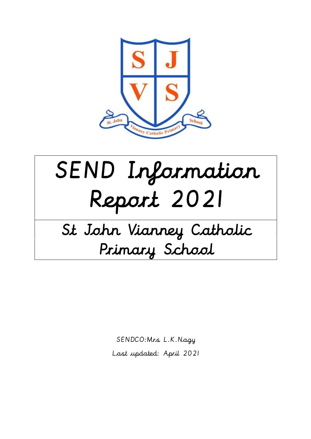

# SEND Information Report 2021

# St John Vianney Catholic Primary School

SENDCO:Mrs L.K.Nagy Last updated: April 2021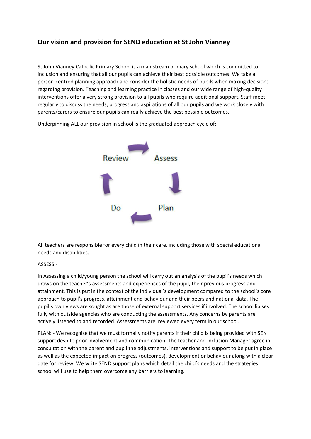# **Our vision and provision for SEND education at St John Vianney**

St John Vianney Catholic Primary School is a mainstream primary school which is committed to inclusion and ensuring that all our pupils can achieve their best possible outcomes. We take a person-centred planning approach and consider the holistic needs of pupils when making decisions regarding provision. Teaching and learning practice in classes and our wide range of high-quality interventions offer a very strong provision to all pupils who require additional support. Staff meet regularly to discuss the needs, progress and aspirations of all our pupils and we work closely with parents/carers to ensure our pupils can really achieve the best possible outcomes.



Underpinning ALL our provision in school is the graduated approach cycle of:

All teachers are responsible for every child in their care, including those with special educational needs and disabilities.

#### ASSESS:-

In Assessing a child/young person the school will carry out an analysis of the pupil's needs which draws on the teacher's assessments and experiences of the pupil, their previous progress and attainment. This is put in the context of the individual's development compared to the school's core approach to pupil's progress, attainment and behaviour and their peers and national data. The pupil's own views are sought as are those of external support services if involved. The school liaises fully with outside agencies who are conducting the assessments. Any concerns by parents are actively listened to and recorded. Assessments are reviewed every term in our school.

PLAN: - We recognise that we must formally notify parents if their child is being provided with SEN support despite prior involvement and communication. The teacher and Inclusion Manager agree in consultation with the parent and pupil the adjustments, interventions and support to be put in place as well as the expected impact on progress (outcomes), development or behaviour along with a clear date for review. We write SEND support plans which detail the child's needs and the strategies school will use to help them overcome any barriers to learning.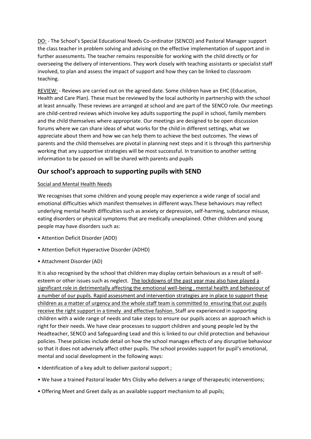DO: - The School's Special Educational Needs Co-ordinator (SENCO) and Pastoral Manager support the class teacher in problem solving and advising on the effective implementation of support and in further assessments. The teacher remains responsible for working with the child directly or for overseeing the delivery of interventions. They work closely with teaching assistants or specialist staff involved, to plan and assess the impact of support and how they can be linked to classroom teaching.

REVIEW: - Reviews are carried out on the agreed date. Some children have an EHC (Education, Health and Care Plan). These must be reviewed by the local authority in partnership with the school at least annually. These reviews are arranged at school and are part of the SENCO role. Our meetings are child-centred reviews which involve key adults supporting the pupil in school, family members and the child themselves where appropriate. Our meetings are designed to be open discussion forums where we can share ideas of what works for the child in different settings, what we appreciate about them and how we can help them to achieve the best outcomes. The views of parents and the child themselves are pivotal in planning next steps and it is through this partnership working that any supportive strategies will be most successful. In transition to another setting information to be passed on will be shared with parents and pupils

# **Our school's approach to supporting pupils with SEND**

#### Social and Mental Health Needs

We recognises that some children and young people may experience a wide range of social and emotional difficulties which manifest themselves in different ways.These behaviours may reflect underlying mental health difficulties such as anxiety or depression, self-harming, substance misuse, eating disorders or physical symptoms that are medically unexplained. Other children and young people may have disorders such as:

- Attention Deficit Disorder (ADD)
- Attention Deficit Hyperactive Disorder (ADHD)
- Attachment Disorder (AD)

It is also recognised by the school that children may display certain behaviours as a result of selfesteem or other issues such as neglect. The lockdowns of the past year may also have played a significant role in detrimentally affecting the emotional well-being , mental health and behaviour of a number of our pupils. Rapid assessment and intervention strategies are in place to support these children as a matter of urgency and the whole staff team is committed to ensuring that our pupils receive the right support in a timely and effective fashion. Staff are experienced in supporting children with a wide range of needs and take steps to ensure our pupils access an approach which is right for their needs. We have clear processes to support children and young people led by the Headteacher, SENCO and Safeguarding Lead and this is linked to our child protection and behaviour policies. These policies include detail on how the school manages effects of any disruptive behaviour so that it does not adversely affect other pupils. The school provides support for pupil's emotional, mental and social development in the following ways:

- Identification of a key adult to deliver pastoral support ;
- We have a trained Pastoral leader Mrs Clisby who delivers a range of therapeutic interventions;
- Offering Meet and Greet daily as an available support mechanism to all pupils;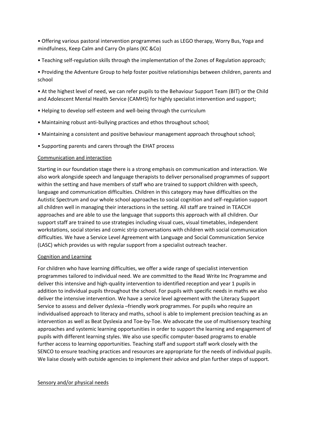• Offering various pastoral intervention programmes such as LEGO therapy, Worry Bus, Yoga and mindfulness, Keep Calm and Carry On plans (KC &Co)

• Teaching self-regulation skills through the implementation of the Zones of Regulation approach;

• Providing the Adventure Group to help foster positive relationships between children, parents and school

• At the highest level of need, we can refer pupils to the Behaviour Support Team (BIT) or the Child and Adolescent Mental Health Service (CAMHS) for highly specialist intervention and support;

- Helping to develop self-esteem and well-being through the curriculum
- Maintaining robust anti-bullying practices and ethos throughout school;
- Maintaining a consistent and positive behaviour management approach throughout school;
- Supporting parents and carers through the EHAT process

#### Communication and interaction

Starting in our foundation stage there is a strong emphasis on communication and interaction. We also work alongside speech and language therapists to deliver personalised programmes of support within the setting and have members of staff who are trained to support children with speech, language and communication difficulties. Children in this category may have difficulties on the Autistic Spectrum and our whole school approaches to social cognition and self-regulation support all children well in managing their interactions in the setting. All staff are trained in TEACCH approaches and are able to use the language that supports this approach with all children. Our support staff are trained to use strategies including visual cues, visual timetables, independent workstations, social stories and comic strip conversations with children with social communication difficulties. We have a Service Level Agreement with Language and Social Communication Service (LASC) which provides us with regular support from a specialist outreach teacher.

#### Cognition and Learning

For children who have learning difficulties, we offer a wide range of specialist intervention programmes tailored to individual need. We are committed to the Read Write Inc Programme and deliver this intensive and high-quality intervention to identified reception and year 1 pupils in addition to individual pupils throughout the school. For pupils with specific needs in maths we also deliver the intensive intervention. We have a service level agreement with the Literacy Support Service to assess and deliver dyslexia –friendly work programmes. For pupils who require an individualised approach to literacy and maths, school is able to implement precision teaching as an intervention as well as Beat Dyslexia and Toe-by-Toe. We advocate the use of multisensory teaching approaches and systemic learning opportunities in order to support the learning and engagement of pupils with different learning styles. We also use specific computer-based programs to enable further access to learning opportunities. Teaching staff and support staff work closely with the SENCO to ensure teaching practices and resources are appropriate for the needs of individual pupils. We liaise closely with outside agencies to implement their advice and plan further steps of support.

#### Sensory and/or physical needs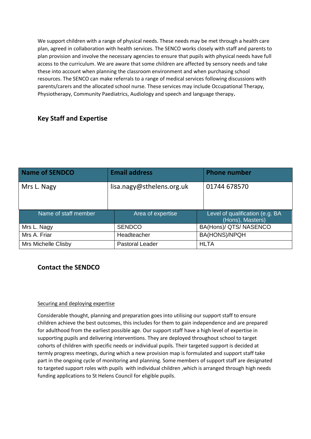We support children with a range of physical needs. These needs may be met through a health care plan, agreed in collaboration with health services. The SENCO works closely with staff and parents to plan provision and involve the necessary agencies to ensure that pupils with physical needs have full access to the curriculum. We are aware that some children are affected by sensory needs and take these into account when planning the classroom environment and when purchasing school resources. The SENCO can make referrals to a range of medical services following discussions with parents/carers and the allocated school nurse. These services may include Occupational Therapy, Physiotherapy, Community Paediatrics, Audiology and speech and language therapy**.**

# **Key Staff and Expertise**

| <b>Name of SENDCO</b> | <b>Email address</b>      | <b>Phone number</b>                                 |
|-----------------------|---------------------------|-----------------------------------------------------|
| Mrs L. Nagy           | lisa.nagy@sthelens.org.uk | 01744 678570                                        |
| Name of staff member  | Area of expertise         | Level of qualification (e.g. BA<br>(Hons), Masters) |
| Mrs L. Nagy           | <b>SENDCO</b>             | BA(Hons)/ QTS/ NASENCO                              |
| Mrs A. Friar          | Headteacher               | BA(HONS)/NPQH                                       |
| Mrs Michelle Clisby   | <b>Pastoral Leader</b>    | <b>HLTA</b>                                         |

# **Contact the SENDCO**

#### Securing and deploying expertise

Considerable thought, planning and preparation goes into utilising our support staff to ensure children achieve the best outcomes, this includes for them to gain independence and are prepared for adulthood from the earliest possible age. Our support staff have a high level of expertise in supporting pupils and delivering interventions. They are deployed throughout school to target cohorts of children with specific needs or individual pupils. Their targeted support is decided at termly progress meetings, during which a new provision map is formulated and support staff take part in the ongoing cycle of monitoring and planning. Some members of support staff are designated to targeted support roles with pupils with individual children ,which is arranged through high needs funding applications to St Helens Council for eligible pupils.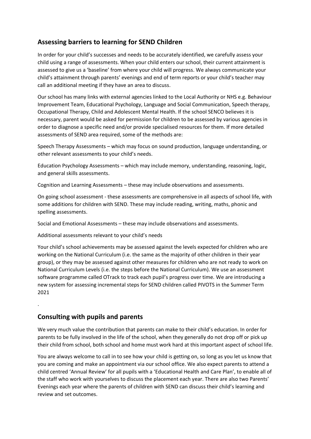# **Assessing barriers to learning for SEND Children**

In order for your child's successes and needs to be accurately identified, we carefully assess your child using a range of assessments. When your child enters our school, their current attainment is assessed to give us a 'baseline' from where your child will progress. We always communicate your child's attainment through parents' evenings and end of term reports or your child's teacher may call an additional meeting if they have an area to discuss.

Our school has many links with external agencies linked to the Local Authority or NHS e.g. Behaviour Improvement Team, Educational Psychology, Language and Social Communication, Speech therapy, Occupational Therapy, Child and Adolescent Mental Health. If the school SENCO believes it is necessary, parent would be asked for permission for children to be assessed by various agencies in order to diagnose a specific need and/or provide specialised resources for them. If more detailed assessments of SEND area required, some of the methods are:

Speech Therapy Assessments – which may focus on sound production, language understanding, or other relevant assessments to your child's needs.

Education Psychology Assessments – which may include memory, understanding, reasoning, logic, and general skills assessments.

Cognition and Learning Assessments – these may include observations and assessments.

On going school assessment - these assessments are comprehensive in all aspects of school life, with some additions for children with SEND. These may include reading, writing, maths, phonic and spelling assessments.

Social and Emotional Assessments – these may include observations and assessments.

Additional assessments relevant to your child's needs

Your child's school achievements may be assessed against the levels expected for children who are working on the National Curriculum (i.e. the same as the majority of other children in their year group), or they may be assessed against other measures for children who are not ready to work on National Curriculum Levels (i.e. the steps before the National Curriculum). We use an assessment software programme called OTrack to track each pupil's progress over time. We are introducing a new system for assessing incremental steps for SEND children called PIVOTS in the Summer Term 2021

**Consulting with pupils and parents**

.

We very much value the contribution that parents can make to their child's education. In order for parents to be fully involved in the life of the school, when they generally do not drop off or pick up their child from school, both school and home must work hard at this important aspect of school life.

You are always welcome to call in to see how your child is getting on, so long as you let us know that you are coming and make an appointment via our school office. We also expect parents to attend a child centred 'Annual Review' for all pupils with a 'Educational Health and Care Plan', to enable all of the staff who work with yourselves to discuss the placement each year. There are also two Parents' Evenings each year where the parents of children with SEND can discuss their child's learning and review and set outcomes.